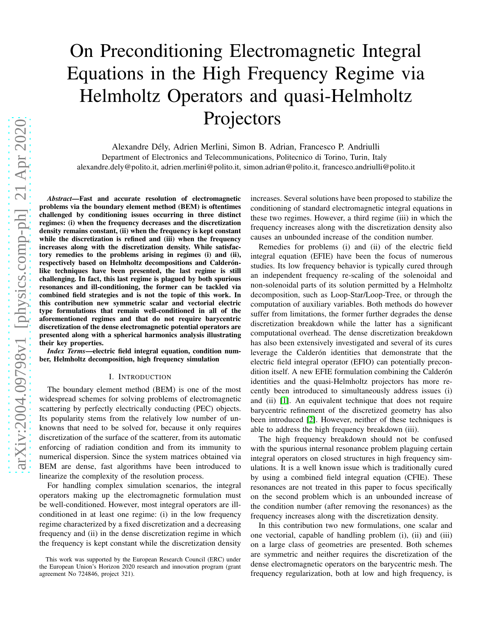# On Preconditioning Electromagnetic Integral Equations in the High Frequency Regime via Helmholtz Operators and quasi-Helmholtz Projectors

Alexandre Dély, Adrien Merlini, Simon B. Adrian, Francesco P. Andriulli Department of Electronics and Telecommunications, Politecnico di Torino, Turin, Italy alexandre.dely@polito.it, adrien.merlini@polito.it, simon.adrian@polito.it, francesco.andriulli@polito.it

*Abstract*—Fast and accurate resolution of electromagnetic problems via the boundary element method (BEM) is oftentimes challenged by conditioning issues occurring in three distinct regimes: (i) when the frequency decreases and the discretization density remains constant, (ii) when the frequency is kept constant while the discretization is refined and (iii) when the frequency increases along with the discretization density. While satisfactory remedies to the problems arising in regimes (i) and (ii), respectively based on Helmholtz decompositions and Calderónlike techniques have been presented, the last regime is still challenging. In fact, this last regime is plagued by both spurious resonances and ill-conditioning, the former can be tackled via combined field strategies and is not the topic of this work. In this contribution new symmetric scalar and vectorial electric type formulations that remain well-conditioned in all of the aforementioned regimes and that do not require barycentric discretization of the dense electromagnetic potential operators are presented along with a spherical harmonics analysis illustrating their key properties.

*Index Terms*—electric field integral equation, condition number, Helmholtz decomposition, high frequency simulation

### I. INTRODUCTION

The boundary element method (BEM) is one of the most widespread schemes for solving problems of electromagnetic scattering by perfectly electrically conducting (PEC) objects. Its popularity stems from the relatively low number of unknowns that need to be solved for, because it only requires discretization of the surface of the scatterer, from its automatic enforcing of radiation condition and from its immunity to numerical dispersion. Since the system matrices obtained via BEM are dense, fast algorithms have been introduced to linearize the complexity of the resolution process.

For handling complex simulation scenarios, the integral operators making up the electromagnetic formulation must be well-conditioned. However, most integral operators are illconditioned in at least one regime: (i) in the low frequency regime characterized by a fixed discretization and a decreasing frequency and (ii) in the dense discretization regime in which the frequency is kept constant while the discretization density increases. Several solutions have been proposed to stabilize the conditioning of standard electromagnetic integral equations in these two regimes. However, a third regime (iii) in which the frequency increases along with the discretization density also causes an unbounded increase of the condition number.

Remedies for problems (i) and (ii) of the electric field integral equation (EFIE) have been the focus of numerous studies. Its low frequency behavior is typically cured through an independent frequency re-scaling of the solenoidal and non-solenoidal parts of its solution permitted by a Helmholtz decomposition, such as Loop-Star/Loop-Tree, or through the computation of auxiliary variables. Both methods do however suffer from limitations, the former further degrades the dense discretization breakdown while the latter has a significant computational overhead. The dense discretization breakdown has also been extensively investigated and several of its cures leverage the Calderón identities that demonstrate that the electric field integral operator (EFIO) can potentially precondition itself. A new EFIE formulation combining the Calderón identities and the quasi-Helmholtz projectors has more recently been introduced to simultaneously address issues (i) and (ii) [\[1\]](#page-3-0). An equivalent technique that does not require barycentric refinement of the discretized geometry has also been introduced [\[2\]](#page-3-1). However, neither of these techniques is able to address the high frequency breakdown (iii).

The high frequency breakdown should not be confused with the spurious internal resonance problem plaguing certain integral operators on closed structures in high frequency simulations. It is a well known issue which is traditionally cured by using a combined field integral equation (CFIE). These resonances are not treated in this paper to focus specifically on the second problem which is an unbounded increase of the condition number (after removing the resonances) as the frequency increases along with the discretization density.

In this contribution two new formulations, one scalar and one vectorial, capable of handling problem (i), (ii) and (iii) on a large class of geometries are presented. Both schemes are symmetric and neither requires the discretization of the dense electromagnetic operators on the barycentric mesh. The frequency regularization, both at low and high frequency, is

This work was supported by the European Research Council (ERC) under the European Union's Horizon 2020 research and innovation program (grant agreement No 724846, project 321).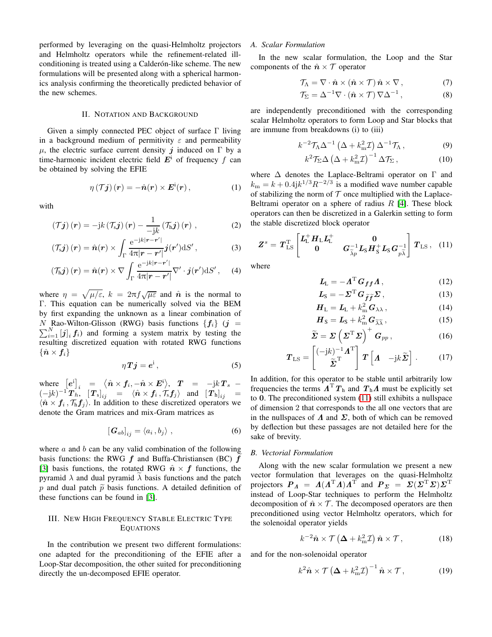performed by leveraging on the quasi-Helmholtz projectors and Helmholtz operators while the refinement-related illconditioning is treated using a Calderón-like scheme. The new formulations will be presented along with a spherical harmonics analysis confirming the theoretically predicted behavior of the new schemes.

## II. NOTATION AND BACKGROUND

Given a simply connected PEC object of surface Γ living in a background medium of permitivity  $\varepsilon$  and permeability  $\mu$ , the electric surface current density j induced on  $\Gamma$  by a time-harmonic incident electric field  $E^i$  of frequency f can be obtained by solving the EFIE

$$
\eta\left(\mathcal{T}\mathbf{j}\right)(\mathbf{r})=-\hat{\mathbf{n}}(\mathbf{r})\times\mathbf{E}^{\mathrm{i}}(\mathbf{r}),\qquad(1)
$$

with

$$
\left(\mathcal{T}\mathbf{j}\right)\left(\mathbf{r}\right) = -\mathrm{j}k\left(\mathcal{T}_{\mathrm{s}}\mathbf{j}\right)\left(\mathbf{r}\right) - \frac{1}{-\mathrm{j}k}\left(\mathcal{T}_{\mathrm{h}}\mathbf{j}\right)\left(\mathbf{r}\right) ,\qquad (2)
$$

$$
\left(\mathcal{T}_{s}\boldsymbol{j}\right)(\boldsymbol{r})=\hat{\boldsymbol{n}}(\boldsymbol{r})\times\int_{\Gamma}\frac{\mathrm{e}^{-\mathrm{j}k|\boldsymbol{r}-\boldsymbol{r}'|}}{4\pi|\boldsymbol{r}-\boldsymbol{r}'|}\boldsymbol{j}(\boldsymbol{r}')\mathrm{d}S'\,,\tag{3}
$$

$$
\left(\mathcal{T}_{h}j\right)(\boldsymbol{r})=\hat{\boldsymbol{n}}(\boldsymbol{r})\times\nabla\int_{\Gamma}\frac{e^{-jk|\boldsymbol{r}-\boldsymbol{r}'|}}{4\pi|\boldsymbol{r}-\boldsymbol{r}'|}\nabla'\cdot\boldsymbol{j}(\boldsymbol{r}')\mathrm{d}S'\,,\quad \ \, (4)
$$

where  $\eta = \sqrt{\mu/\varepsilon}$ ,  $k = 2\pi f \sqrt{\mu \varepsilon}$  and  $\hat{\boldsymbol{n}}$  is the normal to Γ. This equation can be numerically solved via the BEM by first expanding the unknown as a linear combination of  $N$  Rao-Wilton-Glisson (RWG) basis functions  $\{f_i\}$  ( $j =$  $\sum_{i=1}^{N} [j]_i f_i$  and forming a system matrix by testing the resulting discretized equation with rotated RWG functions  $\{\hat{\boldsymbol{n}}\times\boldsymbol{f}_i\}$ 

$$
\eta T j = e^{i}, \qquad (5)
$$

where  $[e^i]_i = \langle \hat{n} \times f_i, -\hat{n} \times E^i \rangle$ ,  $T = -\frac{1}{2}kT_s$  $(-\mathrm{j}k)^{-1}\overline{T}^{\,\,\ast}_{h},\,\,\left[\,\overline{T}_{\mathrm{s}}\right]_{ij} \quad = \quad \langle\hat{n}\times\overline{f}_{i}\,,\,\overline{\mathcal{T}}_{\mathrm{s}}\overline{f}_{j}\rangle \quad\text{and}\quad \left[\,\overline{T}_{\mathrm{h}}\right]_{ij} \quad = \quad$  $\langle \hat{n} \times f_i, \mathcal{T}_h f_j \rangle$ . In addition to these discretized operators we denote the Gram matrices and mix-Gram matrices as

$$
\left[\mathbf{G}_{ab}\right]_{ij} = \langle a_i, b_j \rangle \tag{6}
$$

where  $a$  and  $b$  can be any valid combination of the following basis functions: the RWG  $f$  and Buffa-Christiansen (BC)  $f$ [\[3\]](#page-3-2) basis functions, the rotated RWG  $\hat{n} \times f$  functions, the pyramid  $\lambda$  and dual pyramid  $\lambda$  basis functions and the patch p and dual patch  $\tilde{p}$  basis functions. A detailed definition of these functions can be found in [\[3\]](#page-3-2).

## III. NEW HIGH FREQUENCY STABLE ELECTRIC TYPE EQUATIONS

In the contribution we present two different formulations: one adapted for the preconditioning of the EFIE after a Loop-Star decomposition, the other suited for preconditioning directly the un-decomposed EFIE operator.

# *A. Scalar Formulation*

In the new scalar formulation, the Loop and the Star components of the  $\hat{\boldsymbol{n}} \times \mathcal{T}$  operator

$$
\mathcal{T}_{\Lambda} = \nabla \cdot \hat{\boldsymbol{n}} \times (\hat{\boldsymbol{n}} \times \mathcal{T}) \hat{\boldsymbol{n}} \times \nabla , \qquad (7)
$$

$$
\mathcal{T}_{\Sigma} = \Delta^{-1} \nabla \cdot (\hat{\boldsymbol{n}} \times \mathcal{T}) \, \nabla \Delta^{-1} \,, \tag{8}
$$

are independently preconditioned with the corresponding scalar Helmholtz operators to form Loop and Star blocks that are immune from breakdowns (i) to (iii)

$$
k^{-2} \mathcal{T}_{\Lambda} \Delta^{-1} \left( \Delta + k_{\rm m}^2 \mathcal{I} \right) \Delta^{-1} \mathcal{T}_{\Lambda} , \qquad (9)
$$

<span id="page-1-3"></span><span id="page-1-1"></span>
$$
k^2 \mathcal{T}_{\Sigma} \Delta \left( \Delta + k_{\rm m}^2 \mathcal{I} \right)^{-1} \Delta \mathcal{T}_{\Sigma} \,, \tag{10}
$$

where  $\Delta$  denotes the Laplace-Beltrami operator on  $\Gamma$  and  $k_{\rm m} = k + 0.4$ j $k^{1/3} R^{-2/3}$  is a modified wave number capable of stabilizing the norm of  $T$  once multiplied with the Laplace-Beltrami operator on a sphere of radius  $R$  [\[4\]](#page-3-3). These block operators can then be discretized in a Galerkin setting to form the stable discretized block operator

<span id="page-1-0"></span>
$$
Z^s = T_{\text{LS}}^{\text{T}} \begin{bmatrix} L_{\text{L}}^+ H_{\text{L}} L_{\text{L}}^+ & 0\\ 0 & G_{\widetilde{\lambda} p}^{-1} L_{\text{S}} H_{\text{S}}^+ L_{\text{S}} G_{p\widetilde{\lambda}}^{-1} \end{bmatrix} T_{\text{LS}} \,, \tag{11}
$$

where

$$
L_{\mathcal{L}} = -\Lambda^{\mathrm{T}} G_{ff} \Lambda\,,\tag{12}
$$

$$
L_{\rm S} = -\Sigma^{\rm T} G_{\tilde{f}\tilde{f}} \Sigma \,, \tag{13}
$$

$$
H_{\rm L} = L_{\rm L} + k_{\rm m}^2 \, G_{\lambda\lambda} \,, \tag{14}
$$

$$
\boldsymbol{H}_{\rm S} = \boldsymbol{L}_{\rm S} + k_{\rm m}^2 \, \boldsymbol{G}_{\widetilde{\lambda} \widetilde{\lambda}} \,, \tag{15}
$$

$$
\widetilde{\Sigma} = \Sigma \left( \Sigma^{\mathrm{T}} \Sigma \right)^{+} G_{pp}, \tag{16}
$$

$$
\boldsymbol{T}_{\text{LS}} = \begin{bmatrix} (-jk)^{-1} \boldsymbol{\Lambda}^{\text{T}} \\ \tilde{\boldsymbol{\Sigma}}^{\text{T}} \end{bmatrix} \boldsymbol{T} \begin{bmatrix} \boldsymbol{\Lambda} & -jk \tilde{\boldsymbol{\Sigma}} \end{bmatrix} . \tag{17}
$$

In addition, for this operator to be stable until arbitrarily low frequencies the terms  $\boldsymbol{\Lambda}^{\mathrm{T}} \boldsymbol{T}_h$  and  $\boldsymbol{T}_h \boldsymbol{\Lambda}$  must be explicitly set to 0. The preconditioned system [\(11\)](#page-1-0) still exhibits a nullspace of dimension 2 that corresponds to the all one vectors that are in the nullspaces of  $\Lambda$  and  $\Sigma$ , both of which can be removed by deflection but these passages are not detailed here for the sake of brevity.

## *B. Vectorial Formulation*

Along with the new scalar formulation we present a new vector formulation that leverages on the quasi-Helmholtz projectors  $P_A = A(A^{\mathrm{T}}A)A^{\mathrm{T}}$  and  $P_{\Sigma} = \Sigma(\Sigma^{\mathrm{T}}\Sigma)\Sigma^{\mathrm{T}}$ instead of Loop-Star techniques to perform the Helmholtz decomposition of  $\hat{n} \times \mathcal{T}$ . The decomposed operators are then preconditioned using vector Helmholtz operators, which for the solenoidal operator yields

<span id="page-1-2"></span>
$$
k^{-2}\hat{\boldsymbol{n}} \times \mathcal{T}\left(\boldsymbol{\Delta} + k_{\rm m}^2 \mathcal{I}\right)\hat{\boldsymbol{n}} \times \mathcal{T}, \tag{18}
$$

and for the non-solenoidal operator

<span id="page-1-4"></span>
$$
k^2 \hat{\boldsymbol{n}} \times \mathcal{T} \left( \boldsymbol{\Delta} + k_{\rm m}^2 \mathcal{I} \right)^{-1} \hat{\boldsymbol{n}} \times \mathcal{T}, \tag{19}
$$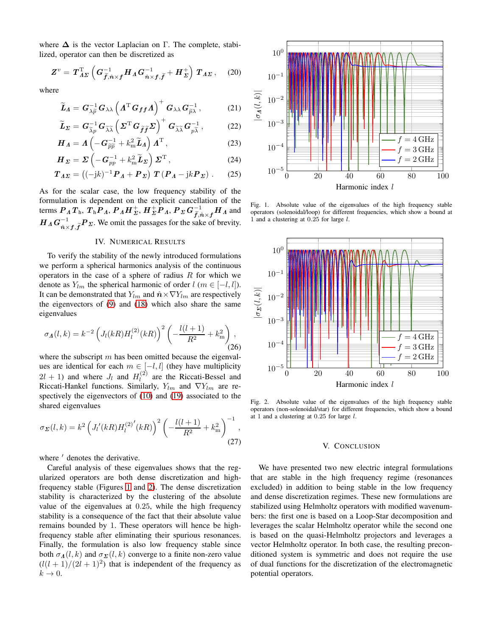where  $\Delta$  is the vector Laplacian on  $\Gamma$ . The complete, stabilized, operator can then be discretized as

$$
Z^v = T_{\Lambda\Sigma}^{\rm T} \left( G_{\widetilde{f},\hat{n}\times f}^{-1} H_{\Lambda} G_{\hat{n}\times f,\widetilde{f}}^{-1} + H_{\Sigma}^+ \right) T_{\Lambda\Sigma}, \quad (20)
$$

where

$$
\widetilde{\bm{L}}_{\bm{\Lambda}} = \bm{G}_{\lambda \widetilde{p}}^{-1} \bm{G}_{\lambda \lambda} \left( \bm{\Lambda}^{\mathrm{T}} \bm{G}_{\bm{f} \bm{f}} \bm{\Lambda} \right)^{+} \bm{G}_{\lambda \lambda} \bm{G}_{\widetilde{p} \lambda}^{-1}, \tag{21}
$$

$$
\widetilde{\boldsymbol{L}}_{\boldsymbol{\Sigma}} = \boldsymbol{G}_{\widetilde{\lambda} \widetilde{p}}^{-1} \boldsymbol{G}_{\widetilde{\lambda} \widetilde{\lambda}} \left( \boldsymbol{\Sigma}^{\mathrm{T}} \boldsymbol{G}_{\widetilde{\boldsymbol{f}} \widetilde{\boldsymbol{f}}} \boldsymbol{\Sigma} \right)^{+} \boldsymbol{G}_{\widetilde{\lambda} \widetilde{\lambda}} \boldsymbol{G}_{p \widetilde{\lambda}}^{-1}, \tag{22}
$$

$$
\boldsymbol{H}_{\Lambda} = \boldsymbol{\Lambda} \left( -\boldsymbol{G}_{\widetilde{p}\widetilde{p}}^{-1} + k_{\mathrm{m}}^{2} \widetilde{\boldsymbol{L}}_{\Lambda} \right) \boldsymbol{\Lambda}^{\mathrm{T}} , \qquad (23)
$$

$$
\boldsymbol{H}_{\boldsymbol{\Sigma}} = \boldsymbol{\Sigma} \left( -\boldsymbol{G}_{pp}^{-1} + k_m^2 \widetilde{\boldsymbol{L}}_{\boldsymbol{\Sigma}} \right) \boldsymbol{\Sigma}^{\mathrm{T}},
$$
\n(24)

$$
T_{\Lambda\Sigma} = \left( (-\mathrm{j}k)^{-1} \, \boldsymbol{P}_\Lambda + \boldsymbol{P}_\Sigma \right) \, \boldsymbol{T} \left( \boldsymbol{P}_\Lambda - \mathrm{j}k \boldsymbol{P}_\Sigma \right) \,. \tag{25}
$$

As for the scalar case, the low frequency stability of the formulation is dependent on the explicit cancellation of the terms  $P_A T_{\rm h}$ ,  $T_{\rm h} P_A$ ,  $P_A H_{\Sigma}^+$ ,  $H_{\Sigma}^+ P_A$ ,  $P_{\Sigma} G_{\widetilde{f},\hat{n}\times f}^{-1} H_A$  and  $H_A G_{\hat{n} \times f, \tilde{f}}^{-1} P_{\Sigma}$ . We omit the passages for the sake of brevity.

### IV. NUMERICAL RESULTS

To verify the stability of the newly introduced formulations we perform a spherical harmonics analysis of the continuous operators in the case of a sphere of radius  $R$  for which we denote as  $Y_{lm}$  the spherical harmonic of order  $l$  ( $m \in [-l, l]$ ). It can be demonstrated that  $Y_{lm}$  and  $\hat{\boldsymbol{n}} \times \nabla Y_{lm}$  are respectively the eigenvectors of [\(9\)](#page-1-1) and [\(18\)](#page-1-2) which also share the same eigenvalues

$$
\sigma_{\Lambda}(l,k) = k^{-2} \left( J_l(kR) H_l^{(2)}(kR) \right)^2 \left( -\frac{l(l+1)}{R^2} + k_m^2 \right), \tag{26}
$$

where the subscript  $m$  has been omitted because the eigenvalues are identical for each  $m \in [-l, l]$  (they have multiplicity  $2l + 1$ ) and where  $J_l$  and  $H_l^{(2)}$  $\ell_l^{(2)}$  are the Riccati-Bessel and Riccati-Hankel functions. Similarly,  $Y_{lm}$  and  $\nabla Y_{lm}$  are respectively the eigenvectors of [\(10\)](#page-1-3) and [\(19\)](#page-1-4) associated to the shared eigenvalues

$$
\sigma_{\Sigma}(l,k) = k^2 \left( J_l'(kR) H_l^{(2)'}(kR) \right)^2 \left( -\frac{l(l+1)}{R^2} + k_m^2 \right)^{-1},
$$
\n(27)

where  $\prime$  denotes the derivative.

Careful analysis of these eigenvalues shows that the regularized operators are both dense discretization and highfrequency stable (Figures [1](#page-2-0) and [2\)](#page-2-1). The dense discretization stability is characterized by the clustering of the absolute value of the eigenvalues at 0.25, while the high frequency stability is a consequence of the fact that their absolute value remains bounded by 1. These operators will hence be highfrequency stable after eliminating their spurious resonances. Finally, the formulation is also low frequency stable since both  $\sigma_A(l, k)$  and  $\sigma_{\Sigma}(l, k)$  converge to a finite non-zero value  $\left(\frac{l(l+1)}{2l+1}\right)^2$  that is independent of the frequency as  $k \rightarrow 0$ .



<span id="page-2-0"></span>Fig. 1. Absolute value of the eigenvalues of the high frequency stable operators (solenoidal/loop) for different frequencies, which show a bound at 1 and a clustering at 0.25 for large l.



<span id="page-2-1"></span>Fig. 2. Absolute value of the eigenvalues of the high frequency stable operators (non-solenoidal/star) for different frequencies, which show a bound at 1 and a clustering at  $0.25$  for large  $l$ .

## V. CONCLUSION

We have presented two new electric integral formulations that are stable in the high frequency regime (resonances excluded) in addition to being stable in the low frequency and dense discretization regimes. These new formulations are stabilized using Helmholtz operators with modified wavenumbers: the first one is based on a Loop-Star decomposition and leverages the scalar Helmholtz operator while the second one is based on the quasi-Helmholtz projectors and leverages a vector Helmholtz operator. In both case, the resulting preconditioned system is symmetric and does not require the use of dual functions for the discretization of the electromagnetic potential operators.